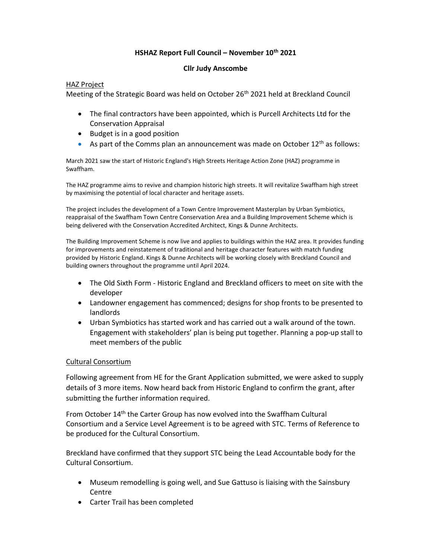## HSHAZ Report Full Council – November 10<sup>th</sup> 2021

## Cllr Judy Anscombe

## HAZ Project

Meeting of the Strategic Board was held on October 26<sup>th</sup> 2021 held at Breckland Council

- The final contractors have been appointed, which is Purcell Architects Ltd for the Conservation Appraisal
- Budget is in a good position
- As part of the Comms plan an announcement was made on October  $12<sup>th</sup>$  as follows:

March 2021 saw the start of Historic England's High Streets Heritage Action Zone (HAZ) programme in Swaffham.

The HAZ programme aims to revive and champion historic high streets. It will revitalize Swaffham high street by maximising the potential of local character and heritage assets.

The project includes the development of a Town Centre Improvement Masterplan by Urban Symbiotics, reappraisal of the Swaffham Town Centre Conservation Area and a Building Improvement Scheme which is being delivered with the Conservation Accredited Architect, Kings & Dunne Architects.

The Building Improvement Scheme is now live and applies to buildings within the HAZ area. It provides funding for improvements and reinstatement of traditional and heritage character features with match funding provided by Historic England. Kings & Dunne Architects will be working closely with Breckland Council and building owners throughout the programme until April 2024.

- The Old Sixth Form Historic England and Breckland officers to meet on site with the developer
- Landowner engagement has commenced; designs for shop fronts to be presented to landlords
- Urban Symbiotics has started work and has carried out a walk around of the town. Engagement with stakeholders' plan is being put together. Planning a pop-up stall to meet members of the public

## Cultural Consortium

Following agreement from HE for the Grant Application submitted, we were asked to supply details of 3 more items. Now heard back from Historic England to confirm the grant, after submitting the further information required.

From October 14th the Carter Group has now evolved into the Swaffham Cultural Consortium and a Service Level Agreement is to be agreed with STC. Terms of Reference to be produced for the Cultural Consortium.

Breckland have confirmed that they support STC being the Lead Accountable body for the Cultural Consortium.

- Museum remodelling is going well, and Sue Gattuso is liaising with the Sainsbury Centre
- Carter Trail has been completed